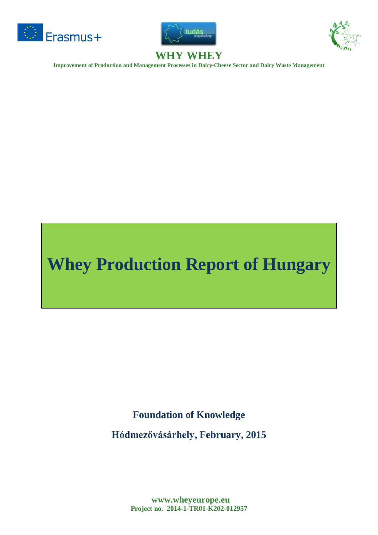





**Improvement of Production and Management Processes in Dairy-Cheese Sector and Dairy Waste Management**

# **Whey Production Report of Hungary**

**Foundation of Knowledge**

**Hódmezővásárhely, February, 2015**

**www.wheyeurope.eu Project no. 2014-1-TR01-K202-012957**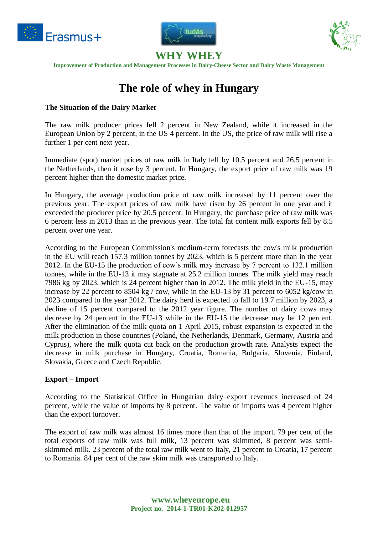





**Improvement of Production and Management Processes in Dairy-Cheese Sector and Dairy Waste Management**

# **The role of whey in Hungary**

#### **The Situation of the Dairy Market**

The raw milk producer prices fell 2 percent in New Zealand, while it increased in the European Union by 2 percent, in the US 4 percent. In the US, the price of raw milk will rise a further 1 per cent next year.

Immediate (spot) market prices of raw milk in Italy fell by 10.5 percent and 26.5 percent in the Netherlands, then it rose by 3 percent. In Hungary, the export price of raw milk was 19 percent higher than the domestic market price.

In Hungary, the average production price of raw milk increased by 11 percent over the previous year. The export prices of raw milk have risen by 26 percent in one year and it exceeded the producer price by 20.5 percent. In Hungary, the purchase price of raw milk was 6 percent less in 2013 than in the previous year. The total fat content milk exports fell by 8.5 percent over one year.

According to the European Commission's medium-term forecasts the cow's milk production in the EU will reach 157.3 million tonnes by 2023, which is 5 percent more than in the year 2012. In the EU-15 the production of cow's milk may increase by 7 percent to 132.1 million tonnes, while in the EU-13 it may stagnate at 25.2 million tonnes. The milk yield may reach 7986 kg by 2023, which is 24 percent higher than in 2012. The milk yield in the EU-15, may increase by 22 percent to 8504 kg / cow, while in the EU-13 by 31 percent to 6052 kg/cow in 2023 compared to the year 2012. The dairy herd is expected to fall to 19.7 million by 2023, a decline of 15 percent compared to the 2012 year figure. The number of dairy cows may decrease by 24 percent in the EU-13 while in the EU-15 the decrease may be 12 percent. After the elimination of the milk quota on 1 April 2015, robust expansion is expected in the milk production in those countries (Poland, the Netherlands, Denmark, Germany, Austria and Cyprus), where the milk quota cut back on the production growth rate. Analysts expect the decrease in milk purchase in Hungary, Croatia, Romania, Bulgaria, Slovenia, Finland, Slovakia, Greece and Czech Republic.

#### **Export – Import**

According to the Statistical Office in Hungarian dairy export revenues increased of 24 percent, while the value of imports by 8 percent. The value of imports was 4 percent higher than the export turnover.

The export of raw milk was almost 16 times more than that of the import. 79 per cent of the total exports of raw milk was full milk, 13 percent was skimmed, 8 percent was semiskimmed milk. 23 percent of the total raw milk went to Italy, 21 percent to Croatia, 17 percent to Romania. 84 per cent of the raw skim milk was transported to Italy.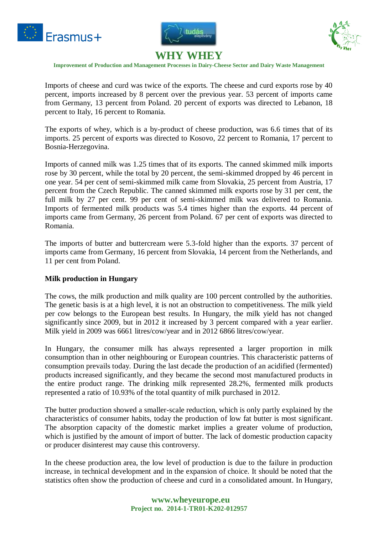





**Improvement of Production and Management Processes in Dairy-Cheese Sector and Dairy Waste Management**

Imports of cheese and curd was twice of the exports. The cheese and curd exports rose by 40 percent, imports increased by 8 percent over the previous year. 53 percent of imports came from Germany, 13 percent from Poland. 20 percent of exports was directed to Lebanon, 18 percent to Italy, 16 percent to Romania.

The exports of whey, which is a by-product of cheese production, was 6.6 times that of its imports. 25 percent of exports was directed to Kosovo, 22 percent to Romania, 17 percent to Bosnia-Herzegovina.

Imports of canned milk was 1.25 times that of its exports. The canned skimmed milk imports rose by 30 percent, while the total by 20 percent, the semi-skimmed dropped by 46 percent in one year. 54 per cent of semi-skimmed milk came from Slovakia, 25 percent from Austria, 17 percent from the Czech Republic. The canned skimmed milk exports rose by 31 per cent, the full milk by 27 per cent. 99 per cent of semi-skimmed milk was delivered to Romania. Imports of fermented milk products was 5.4 times higher than the exports. 44 percent of imports came from Germany, 26 percent from Poland. 67 per cent of exports was directed to Romania.

The imports of butter and buttercream were 5.3-fold higher than the exports. 37 percent of imports came from Germany, 16 percent from Slovakia, 14 percent from the Netherlands, and 11 per cent from Poland.

#### **Milk production in Hungary**

The cows, the milk production and milk quality are 100 percent controlled by the authorities. The genetic basis is at a high level, it is not an obstruction to competitiveness. The milk yield per cow belongs to the European best results. In Hungary, the milk yield has not changed significantly since 2009, but in 2012 it increased by 3 percent compared with a year earlier. Milk yield in 2009 was 6661 litres/cow/year and in 2012 6866 litres/cow/year.

In Hungary, the consumer milk has always represented a larger proportion in milk consumption than in other neighbouring or European countries. This characteristic patterns of consumption prevails today. During the last decade the production of an acidified (fermented) products increased significantly, and they became the second most manufactured products in the entire product range. The drinking milk represented 28.2%, fermented milk products represented a ratio of 10.93% of the total quantity of milk purchased in 2012.

The butter production showed a smaller-scale reduction, which is only partly explained by the characteristics of consumer habits, today the production of low fat butter is most significant. The absorption capacity of the domestic market implies a greater volume of production, which is justified by the amount of import of butter. The lack of domestic production capacity or producer disinterest may cause this controversy.

In the cheese production area, the low level of production is due to the failure in production increase, in technical development and in the expansion of choice. It should be noted that the statistics often show the production of cheese and curd in a consolidated amount. In Hungary,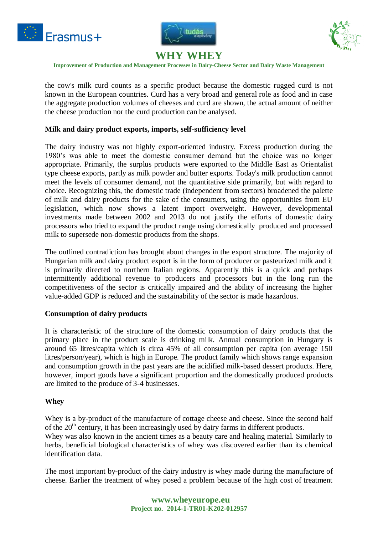





**Improvement of Production and Management Processes in Dairy-Cheese Sector and Dairy Waste Management**

the cow's milk curd counts as a specific product because the domestic rugged curd is not known in the European countries. Curd has a very broad and general role as food and in case the aggregate production volumes of cheeses and curd are shown, the actual amount of neither the cheese production nor the curd production can be analysed.

#### **Milk and dairy product exports, imports, self-sufficiency level**

The dairy industry was not highly export-oriented industry. Excess production during the 1980's was able to meet the domestic consumer demand but the choice was no longer appropriate. Primarily, the surplus products were exported to the Middle East as Orientalist type cheese exports, partly as milk powder and butter exports. Today's milk production cannot meet the levels of consumer demand, not the quantitative side primarily, but with regard to choice. Recognizing this, the domestic trade (independent from sectors) broadened the palette of milk and dairy products for the sake of the consumers, using the opportunities from EU legislation, which now shows a latent import overweight. However, developmental investments made between 2002 and 2013 do not justify the efforts of domestic dairy processors who tried to expand the product range using domestically produced and processed milk to supersede non-domestic products from the shops.

The outlined contradiction has brought about changes in the export structure. The majority of Hungarian milk and dairy product export is in the form of producer or pasteurized milk and it is primarily directed to northern Italian regions. Apparently this is a quick and perhaps intermittently additional revenue to producers and processors but in the long run the competitiveness of the sector is critically impaired and the ability of increasing the higher value-added GDP is reduced and the sustainability of the sector is made hazardous.

#### **Consumption of dairy products**

It is characteristic of the structure of the domestic consumption of dairy products that the primary place in the product scale is drinking milk. Annual consumption in Hungary is around 65 litres/capita which is circa 45% of all consumption per capita (on average 150 litres/person/year), which is high in Europe. The product family which shows range expansion and consumption growth in the past years are the acidified milk-based dessert products. Here, however, import goods have a significant proportion and the domestically produced products are limited to the produce of 3-4 businesses.

#### **Whey**

Whey is a by-product of the manufacture of cottage cheese and cheese. Since the second half of the  $20<sup>th</sup>$  century, it has been increasingly used by dairy farms in different products. Whey was also known in the ancient times as a beauty care and healing material. Similarly to herbs, beneficial biological characteristics of whey was discovered earlier than its chemical identification data.

The most important by-product of the dairy industry is whey made during the manufacture of cheese. Earlier the treatment of whey posed a problem because of the high cost of treatment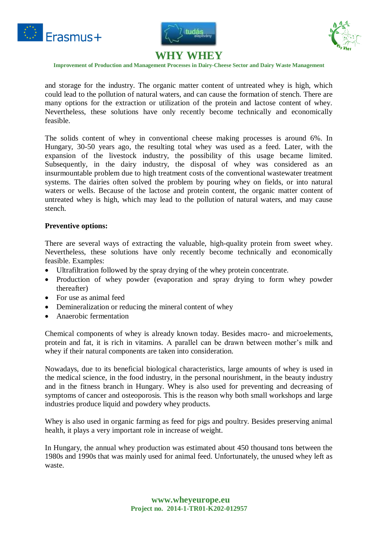





**Improvement of Production and Management Processes in Dairy-Cheese Sector and Dairy Waste Management**

and storage for the industry. The organic matter content of untreated whey is high, which could lead to the pollution of natural waters, and can cause the formation of stench. There are many options for the extraction or utilization of the protein and lactose content of whey. Nevertheless, these solutions have only recently become technically and economically feasible.

The solids content of whey in conventional cheese making processes is around 6%. In Hungary, 30-50 years ago, the resulting total whey was used as a feed. Later, with the expansion of the livestock industry, the possibility of this usage became limited. Subsequently, in the dairy industry, the disposal of whey was considered as an insurmountable problem due to high treatment costs of the conventional wastewater treatment systems. The dairies often solved the problem by pouring whey on fields, or into natural waters or wells. Because of the lactose and protein content, the organic matter content of untreated whey is high, which may lead to the pollution of natural waters, and may cause stench.

#### **Preventive options:**

There are several ways of extracting the valuable, high-quality protein from sweet whey. Nevertheless, these solutions have only recently become technically and economically feasible. Examples:

- Ultrafiltration followed by the spray drying of the whey protein concentrate.
- Production of whey powder (evaporation and spray drying to form whey powder thereafter)
- For use as animal feed
- Demineralization or reducing the mineral content of whey
- Anaerobic fermentation

Chemical components of whey is already known today. Besides macro- and microelements, protein and fat, it is rich in vitamins. A parallel can be drawn between mother's milk and whey if their natural components are taken into consideration.

Nowadays, due to its beneficial biological characteristics, large amounts of whey is used in the medical science, in the food industry, in the personal nourishment, in the beauty industry and in the fitness branch in Hungary. Whey is also used for preventing and decreasing of symptoms of cancer and osteoporosis. This is the reason why both small workshops and large industries produce liquid and powdery whey products.

Whey is also used in organic farming as feed for pigs and poultry. Besides preserving animal health, it plays a very important role in increase of weight.

In Hungary, the annual whey production was estimated about 450 thousand tons between the 1980s and 1990s that was mainly used for animal feed. Unfortunately, the unused whey left as waste.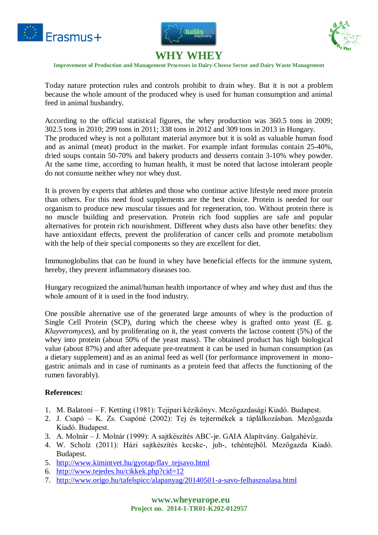





**Improvement of Production and Management Processes in Dairy-Cheese Sector and Dairy Waste Management**

Today nature protection rules and controls prohibit to drain whey. But it is not a problem because the whole amount of the produced whey is used for human consumption and animal feed in animal husbandry.

According to the official statistical figures, the whey production was 360.5 tons in 2009; 302.5 tons in 2010; 299 tons in 2011; 338 tons in 2012 and 309 tons in 2013 in Hungary. The produced whey is not a pollutant material anymore but it is sold as valuable human food and as animal (meat) product in the market. For example infant formulas contain 25-40%, dried soups contain 50-70% and bakery products and desserts contain 3-10% whey powder. At the same time, according to human health, it must be noted that lactose intolerant people do not consume neither whey nor whey dust.

It is proven by experts that athletes and those who continue active lifestyle need more protein than others. For this need food supplements are the best choice. Protein is needed for our organism to produce new muscular tissues and for regeneration, too. Without protein there is no muscle building and preservation. Protein rich food supplies are safe and popular alternatives for protein rich nourishment. Different whey dusts also have other benefits: they have antioxidant effects, prevent the proliferation of cancer cells and promote metabolism with the help of their special components so they are excellent for diet.

Immunoglobulins that can be found in whey have beneficial effects for the immune system, hereby, they prevent inflammatory diseases too.

Hungary recognized the animal/human health importance of whey and whey dust and thus the whole amount of it is used in the food industry.

One possible alternative use of the generated large amounts of whey is the production of Single Cell Protein (SCP), during which the cheese whey is grafted onto yeast (E. g. *Kluyveromyces*), and by proliferating on it, the yeast converts the lactose content (5%) of the whey into protein (about 50% of the yeast mass). The obtained product has high biological value (about 87%) and after adequate pre-treatment it can be used in human consumption (as a dietary supplement) and as an animal feed as well (for performance improvement in monogastric animals and in case of ruminants as a protein feed that affects the functioning of the rumen favorably).

#### **References:**

- 1. M. Balatoni F. Ketting (1981): Tejipari kézikönyv. Mezőgazdasági Kiadó. Budapest.
- 2. J. Csapó K. Zs. Csapóné (2002): Tej és tejtermékek a táplálkozásban. Mezőgazda Kiadó. Budapest.
- 3. A. Molnár J. Molnár (1999): A sajtkészítés ABC-je. GAIA Alapítvány. Galgahévíz.
- 4. W. Scholz (2011): Házi sajtkészítés kecske-, juh-, tehéntejből. Mezőgazda Kiadó. Budapest.
- 5. [http://www.kimintvet.hu/gyotap/flav\\_tejsavo.html](http://www.kimintvet.hu/gyotap/flav_tejsavo.html)
- 6. <http://www.tejedes.hu/cikkek.php?cid=12>
- 7. <http://www.origo.hu/tafelspicc/alapanyag/20140501-a-savo-felhasznalasa.html>